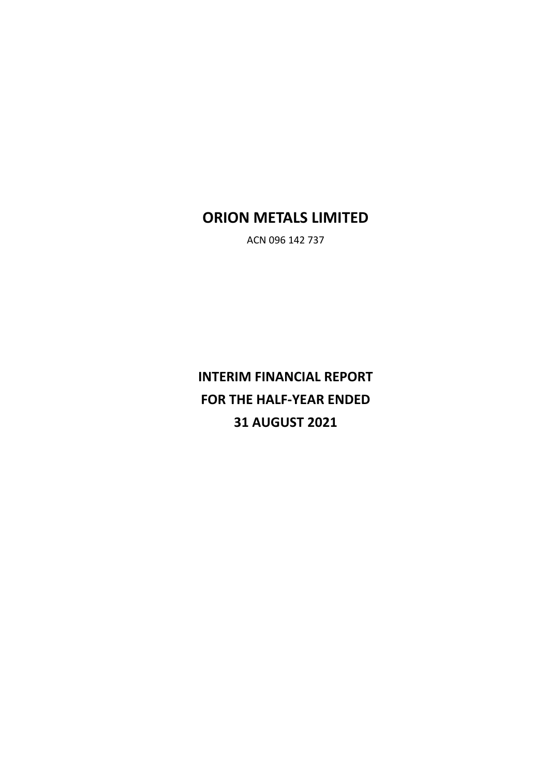# **ORION METALS LIMITED**

ACN 096 142 737

**INTERIM FINANCIAL REPORT FOR THE HALF-YEAR ENDED 31 AUGUST 2021**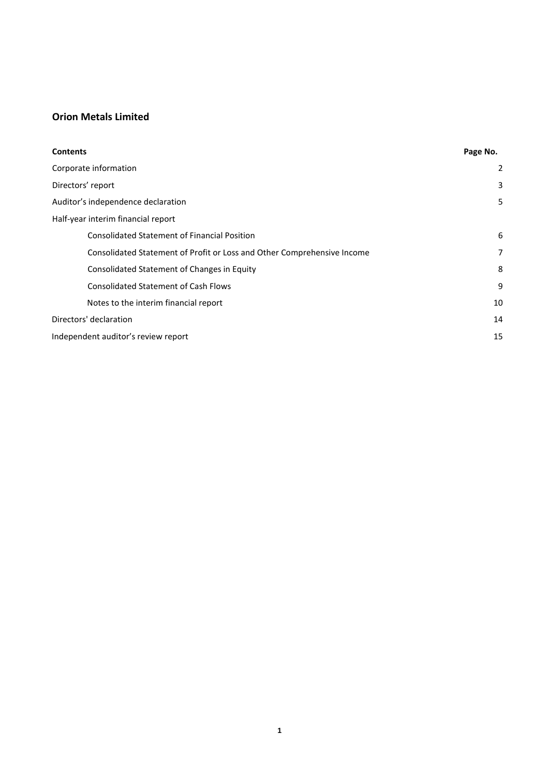| <b>Contents</b>                                                         | Page No. |
|-------------------------------------------------------------------------|----------|
| Corporate information                                                   | 2        |
| Directors' report                                                       | 3        |
| Auditor's independence declaration                                      | 5        |
| Half-year interim financial report                                      |          |
| <b>Consolidated Statement of Financial Position</b>                     | 6        |
| Consolidated Statement of Profit or Loss and Other Comprehensive Income | 7        |
| Consolidated Statement of Changes in Equity                             | 8        |
| <b>Consolidated Statement of Cash Flows</b>                             | 9        |
| Notes to the interim financial report                                   | 10       |
| Directors' declaration                                                  | 14       |
| Independent auditor's review report                                     | 15       |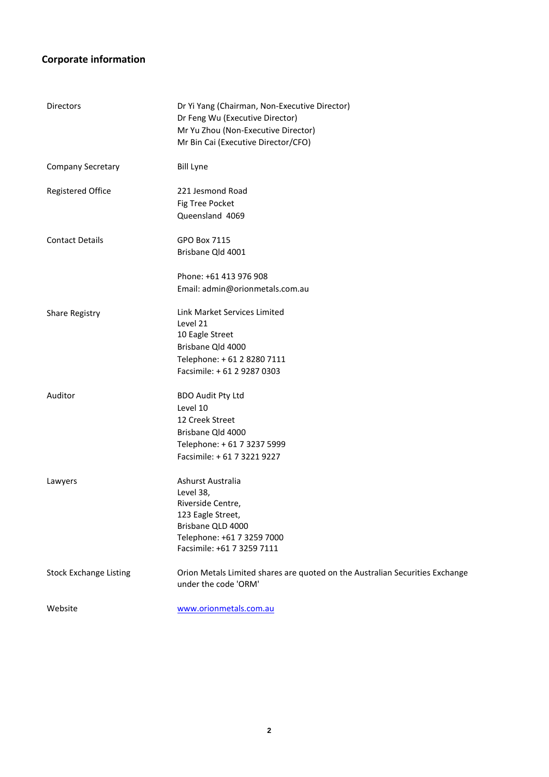# **Corporate information**

| <b>Directors</b>              | Dr Yi Yang (Chairman, Non-Executive Director)<br>Dr Feng Wu (Executive Director)<br>Mr Yu Zhou (Non-Executive Director)<br>Mr Bin Cai (Executive Director/CFO) |
|-------------------------------|----------------------------------------------------------------------------------------------------------------------------------------------------------------|
| <b>Company Secretary</b>      | <b>Bill Lyne</b>                                                                                                                                               |
| <b>Registered Office</b>      | 221 Jesmond Road<br>Fig Tree Pocket<br>Queensland 4069                                                                                                         |
| <b>Contact Details</b>        | GPO Box 7115<br>Brisbane Qld 4001                                                                                                                              |
|                               | Phone: +61 413 976 908<br>Email: admin@orionmetals.com.au                                                                                                      |
| Share Registry                | Link Market Services Limited<br>Level 21<br>10 Eagle Street<br>Brisbane Qld 4000<br>Telephone: +61 2 8280 7111<br>Facsimile: +61 2 9287 0303                   |
| Auditor                       | <b>BDO Audit Pty Ltd</b><br>Level 10<br>12 Creek Street<br>Brisbane Qld 4000<br>Telephone: + 61 7 3237 5999<br>Facsimile: + 61 7 3221 9227                     |
| Lawyers                       | Ashurst Australia<br>Level 38,<br>Riverside Centre,<br>123 Eagle Street,<br>Brisbane QLD 4000<br>Telephone: +61 7 3259 7000<br>Facsimile: +61 7 3259 7111      |
| <b>Stock Exchange Listing</b> | Orion Metals Limited shares are quoted on the Australian Securities Exchange<br>under the code 'ORM'                                                           |
| Website                       | www.orionmetals.com.au                                                                                                                                         |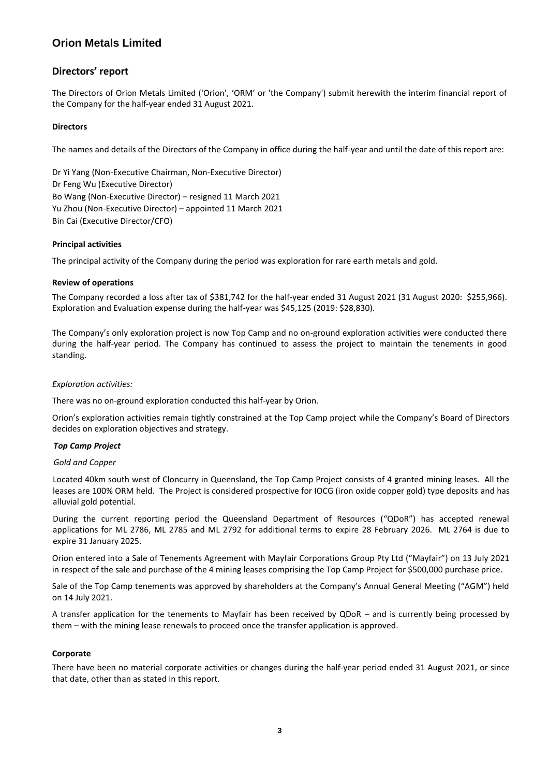## **Directors' report**

The Directors of Orion Metals Limited ('Orion', 'ORM' or 'the Company') submit herewith the interim financial report of the Company for the half-year ended 31 August 2021.

## **Directors**

The names and details of the Directors of the Company in office during the half-year and until the date of this report are:

Dr Yi Yang (Non-Executive Chairman, Non-Executive Director) Dr Feng Wu (Executive Director) Bo Wang (Non-Executive Director) – resigned 11 March 2021 Yu Zhou (Non-Executive Director) – appointed 11 March 2021 Bin Cai (Executive Director/CFO)

## **Principal activities**

The principal activity of the Company during the period was exploration for rare earth metals and gold.

## **Review of operations**

The Company recorded a loss after tax of \$381,742 for the half-year ended 31 August 2021 (31 August 2020: \$255,966). Exploration and Evaluation expense during the half-year was \$45,125 (2019: \$28,830).

The Company's only exploration project is now Top Camp and no on-ground exploration activities were conducted there during the half-year period. The Company has continued to assess the project to maintain the tenements in good standing.

### *Exploration activities:*

There was no on-ground exploration conducted this half-year by Orion.

Orion's exploration activities remain tightly constrained at the Top Camp project while the Company's Board of Directors decides on exploration objectives and strategy.

## *Top Camp Project*

### *Gold and Copper*

Located 40km south west of Cloncurry in Queensland, the Top Camp Project consists of 4 granted mining leases. All the leases are 100% ORM held. The Project is considered prospective for IOCG (iron oxide copper gold) type deposits and has alluvial gold potential.

During the current reporting period the Queensland Department of Resources ("QDoR") has accepted renewal applications for ML 2786, ML 2785 and ML 2792 for additional terms to expire 28 February 2026. ML 2764 is due to expire 31 January 2025.

Orion entered into a Sale of Tenements Agreement with Mayfair Corporations Group Pty Ltd ("Mayfair") on 13 July 2021 in respect of the sale and purchase of the 4 mining leases comprising the Top Camp Project for \$500,000 purchase price.

Sale of the Top Camp tenements was approved by shareholders at the Company's Annual General Meeting ("AGM") held on 14 July 2021.

A transfer application for the tenements to Mayfair has been received by QDoR – and is currently being processed by them – with the mining lease renewals to proceed once the transfer application is approved.

### **Corporate**

There have been no material corporate activities or changes during the half-year period ended 31 August 2021, or since that date, other than as stated in this report.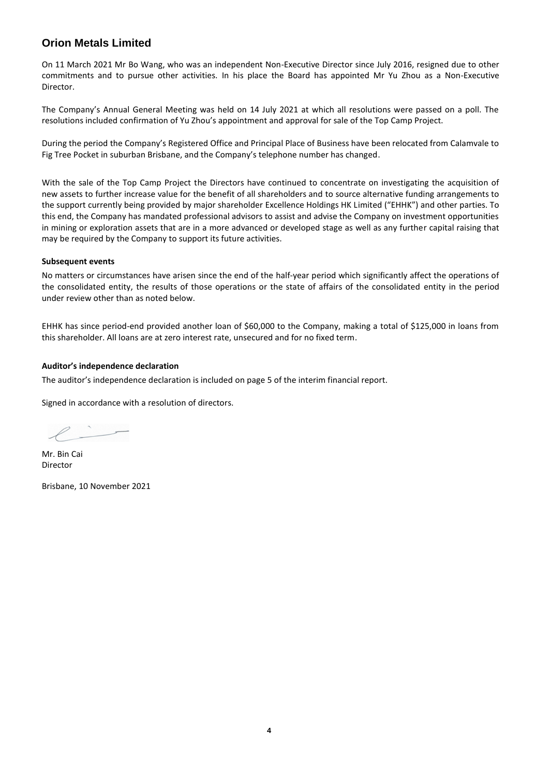On 11 March 2021 Mr Bo Wang, who was an independent Non-Executive Director since July 2016, resigned due to other commitments and to pursue other activities. In his place the Board has appointed Mr Yu Zhou as a Non-Executive Director.

The Company's Annual General Meeting was held on 14 July 2021 at which all resolutions were passed on a poll. The resolutions included confirmation of Yu Zhou's appointment and approval for sale of the Top Camp Project.

During the period the Company's Registered Office and Principal Place of Business have been relocated from Calamvale to Fig Tree Pocket in suburban Brisbane, and the Company's telephone number has changed.

With the sale of the Top Camp Project the Directors have continued to concentrate on investigating the acquisition of new assets to further increase value for the benefit of all shareholders and to source alternative funding arrangements to the support currently being provided by major shareholder Excellence Holdings HK Limited ("EHHK") and other parties. To this end, the Company has mandated professional advisors to assist and advise the Company on investment opportunities in mining or exploration assets that are in a more advanced or developed stage as well as any further capital raising that may be required by the Company to support its future activities.

### **Subsequent events**

No matters or circumstances have arisen since the end of the half-year period which significantly affect the operations of the consolidated entity, the results of those operations or the state of affairs of the consolidated entity in the period under review other than as noted below.

EHHK has since period-end provided another loan of \$60,000 to the Company, making a total of \$125,000 in loans from this shareholder. All loans are at zero interest rate, unsecured and for no fixed term.

## **Auditor's independence declaration**

The auditor's independence declaration is included on page 5 of the interim financial report.

Signed in accordance with a resolution of directors.

Mr. Bin Cai Director

Brisbane, 10 November 2021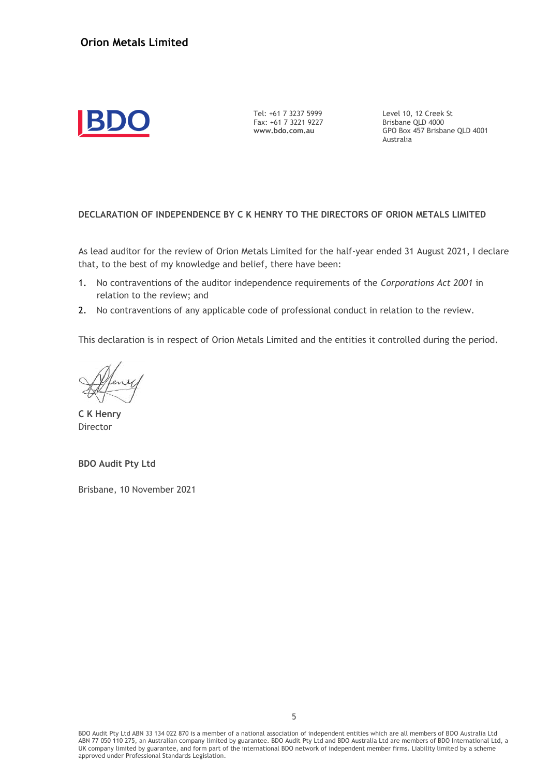

Tel: +61 7 3237 5999 Fax: +61 7 3221 9227 **www.bdo.com.au**

Level 10, 12 Creek St Brisbane QLD 4000 GPO Box 457 Brisbane QLD 4001 Australia

## **DECLARATION OF INDEPENDENCE BY C K HENRY TO THE DIRECTORS OF ORION METALS LIMITED**

As lead auditor for the review of Orion Metals Limited for the half-year ended 31 August 2021, I declare that, to the best of my knowledge and belief, there have been:

- 1. No contraventions of the auditor independence requirements of the *Corporations Act 2001* in relation to the review; and
- 2. No contraventions of any applicable code of professional conduct in relation to the review.

This declaration is in respect of Orion Metals Limited and the entities it controlled during the period.

**C K Henry** Director

**BDO Audit Pty Ltd**

Brisbane, 10 November 2021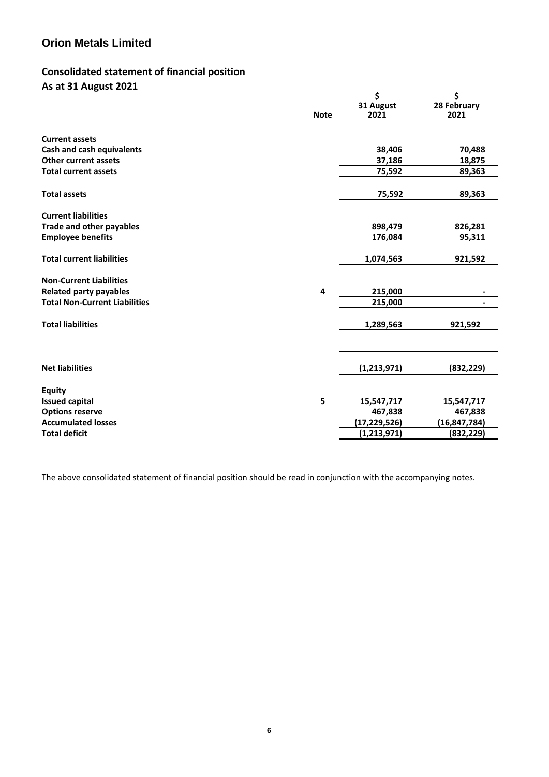# **Consolidated statement of financial position As at 31 August 2021**

|                                      | <b>Note</b> | \$<br>31 August<br>2021 | \$<br>28 February<br>2021 |
|--------------------------------------|-------------|-------------------------|---------------------------|
| <b>Current assets</b>                |             |                         |                           |
| <b>Cash and cash equivalents</b>     |             | 38,406                  | 70,488                    |
| <b>Other current assets</b>          |             | 37,186                  | 18,875                    |
| <b>Total current assets</b>          |             | 75,592                  | 89,363                    |
| <b>Total assets</b>                  |             | 75,592                  | 89,363                    |
| <b>Current liabilities</b>           |             |                         |                           |
| <b>Trade and other payables</b>      |             | 898,479                 | 826,281                   |
| <b>Employee benefits</b>             |             | 176,084                 | 95,311                    |
| <b>Total current liabilities</b>     |             | 1,074,563               | 921,592                   |
| <b>Non-Current Liabilities</b>       |             |                         |                           |
| <b>Related party payables</b>        | 4           | 215,000                 |                           |
| <b>Total Non-Current Liabilities</b> |             | 215,000                 |                           |
| <b>Total liabilities</b>             |             | 1,289,563               | 921,592                   |
| <b>Net liabilities</b>               |             | (1, 213, 971)           | (832, 229)                |
| <b>Equity</b>                        |             |                         |                           |
| <b>Issued capital</b>                | 5           | 15,547,717              | 15,547,717                |
| <b>Options reserve</b>               |             | 467,838                 | 467,838                   |
| <b>Accumulated losses</b>            |             | (17,229,526)            | (16, 847, 784)            |
| <b>Total deficit</b>                 |             | (1, 213, 971)           | (832, 229)                |
|                                      |             |                         |                           |

The above consolidated statement of financial position should be read in conjunction with the accompanying notes.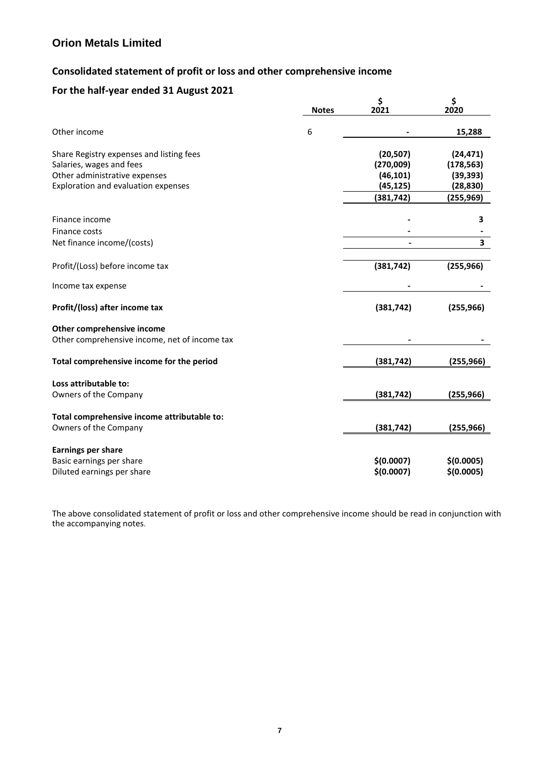# **Consolidated statement of profit or loss and other comprehensive income**

# **For the half-year ended 31 August 2021**

|                                               |              | \$         | \$         |
|-----------------------------------------------|--------------|------------|------------|
|                                               | <b>Notes</b> | 2021       | 2020       |
| Other income                                  | 6            |            | 15,288     |
| Share Registry expenses and listing fees      |              | (20, 507)  | (24, 471)  |
| Salaries, wages and fees                      |              | (270,009)  | (178, 563) |
| Other administrative expenses                 |              | (46, 101)  | (39, 393)  |
| Exploration and evaluation expenses           |              | (45, 125)  | (28, 830)  |
|                                               |              | (381, 742) | (255,969)  |
|                                               |              |            |            |
| Finance income                                |              |            | 3          |
| Finance costs                                 |              |            |            |
| Net finance income/(costs)                    |              |            | 3          |
| Profit/(Loss) before income tax               |              | (381, 742) | (255, 966) |
| Income tax expense                            |              |            |            |
| Profit/(loss) after income tax                |              | (381, 742) | (255, 966) |
| Other comprehensive income                    |              |            |            |
| Other comprehensive income, net of income tax |              |            |            |
| Total comprehensive income for the period     |              | (381, 742) | (255, 966) |
| Loss attributable to:                         |              |            |            |
| Owners of the Company                         |              | (381, 742) | (255, 966) |
|                                               |              |            |            |
| Total comprehensive income attributable to:   |              |            |            |
| Owners of the Company                         |              | (381, 742) | (255, 966) |
| <b>Earnings per share</b>                     |              |            |            |
| Basic earnings per share                      |              | \$(0.0007) | \$(0.0005) |
| Diluted earnings per share                    |              | \$(0.0007) | \$(0.0005) |
|                                               |              |            |            |

The above consolidated statement of profit or loss and other comprehensive income should be read in conjunction with the accompanying notes.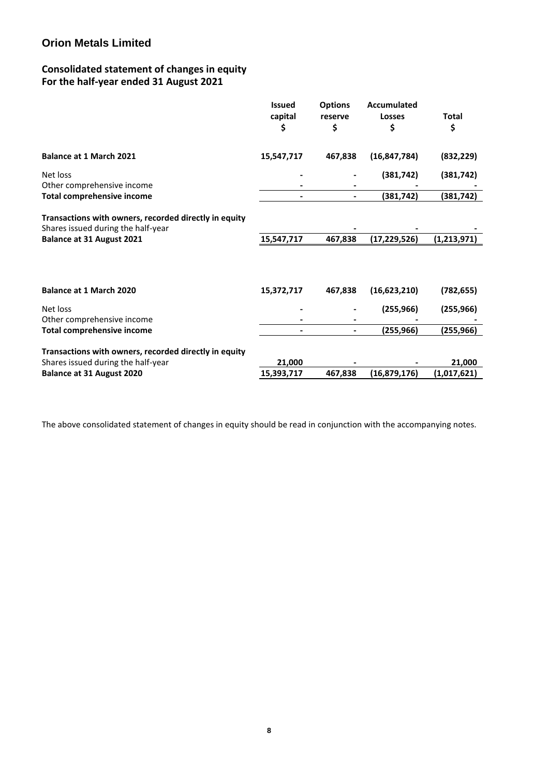# **Consolidated statement of changes in equity For the half-year ended 31 August 2021**

|                                                                                             | <b>Issued</b><br>capital | <b>Options</b><br>reserve | Accumulated<br><b>Losses</b> | <b>Total</b> |
|---------------------------------------------------------------------------------------------|--------------------------|---------------------------|------------------------------|--------------|
|                                                                                             | \$                       | \$                        | \$                           | \$           |
| <b>Balance at 1 March 2021</b>                                                              | 15,547,717               | 467,838                   | (16, 847, 784)               | (832, 229)   |
| Net loss                                                                                    |                          |                           | (381, 742)                   | (381, 742)   |
| Other comprehensive income                                                                  |                          |                           |                              |              |
| <b>Total comprehensive income</b>                                                           |                          |                           | (381,742)                    | (381,742)    |
| Transactions with owners, recorded directly in equity<br>Shares issued during the half-year |                          |                           |                              |              |
| <b>Balance at 31 August 2021</b>                                                            | 15,547,717               | 467,838                   | (17,229,526)                 | (1,213,971)  |
| <b>Balance at 1 March 2020</b>                                                              |                          |                           |                              |              |
|                                                                                             | 15,372,717               | 467,838                   | (16, 623, 210)               | (782, 655)   |
| Net loss                                                                                    |                          |                           | (255, 966)                   | (255, 966)   |
| Other comprehensive income                                                                  |                          |                           |                              |              |
| <b>Total comprehensive income</b>                                                           |                          |                           | (255,966)                    | (255,966)    |
| Transactions with owners, recorded directly in equity                                       |                          |                           |                              |              |
| Shares issued during the half-year                                                          | 21,000                   |                           |                              | 21,000       |
| Balance at 31 August 2020                                                                   | 15,393,717               | 467,838                   | (16, 879, 176)               | (1,017,621)  |
|                                                                                             |                          |                           |                              |              |

The above consolidated statement of changes in equity should be read in conjunction with the accompanying notes.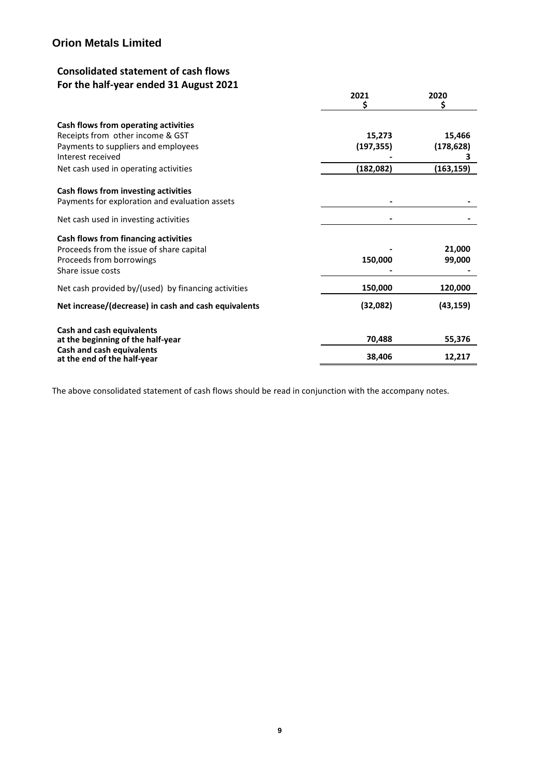# **Consolidated statement of cash flows For the half-year ended 31 August 2021**

|                                                                 | 2021       | 2020       |
|-----------------------------------------------------------------|------------|------------|
| Cash flows from operating activities                            |            |            |
| Receipts from other income & GST                                | 15,273     | 15,466     |
| Payments to suppliers and employees                             | (197, 355) | (178, 628) |
| Interest received                                               |            | 3          |
| Net cash used in operating activities                           | (182, 082) | (163, 159) |
| Cash flows from investing activities                            |            |            |
| Payments for exploration and evaluation assets                  |            |            |
| Net cash used in investing activities                           |            |            |
| Cash flows from financing activities                            |            |            |
| Proceeds from the issue of share capital                        |            | 21,000     |
| Proceeds from borrowings                                        | 150,000    | 99,000     |
| Share issue costs                                               |            |            |
| Net cash provided by/(used) by financing activities             | 150,000    | 120,000    |
| Net increase/(decrease) in cash and cash equivalents            | (32,082)   | (43, 159)  |
| <b>Cash and cash equivalents</b>                                |            |            |
| at the beginning of the half-year                               | 70,488     | 55,376     |
| <b>Cash and cash equivalents</b><br>at the end of the half-year | 38,406     | 12,217     |

The above consolidated statement of cash flows should be read in conjunction with the accompany notes.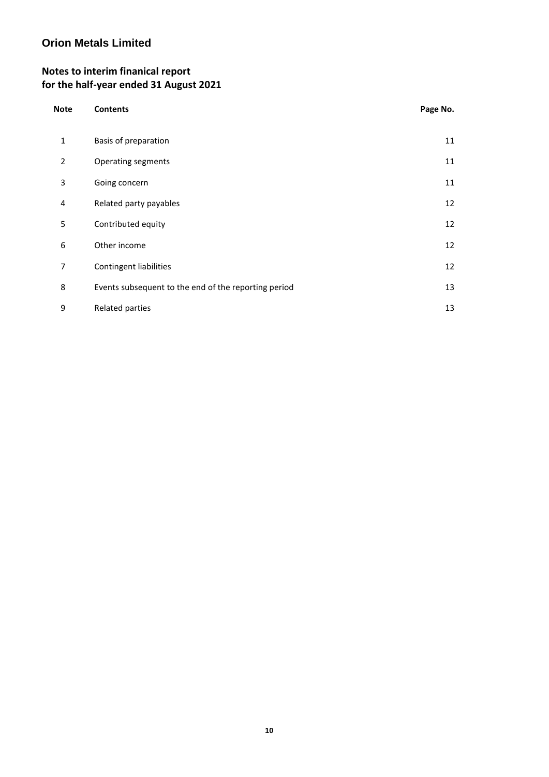# **Notes to interim finanical report for the half-year ended 31 August 2021**

| <b>Note</b>    | <b>Contents</b>                                      | Page No. |
|----------------|------------------------------------------------------|----------|
| $\mathbf{1}$   | Basis of preparation                                 | 11       |
| $\overline{2}$ | <b>Operating segments</b>                            | 11       |
| 3              | Going concern                                        | 11       |
| 4              | Related party payables                               | 12       |
| 5              | Contributed equity                                   | 12       |
| 6              | Other income                                         | 12       |
| 7              | Contingent liabilities                               | 12       |
| 8              | Events subsequent to the end of the reporting period | 13       |
| 9              | Related parties                                      | 13       |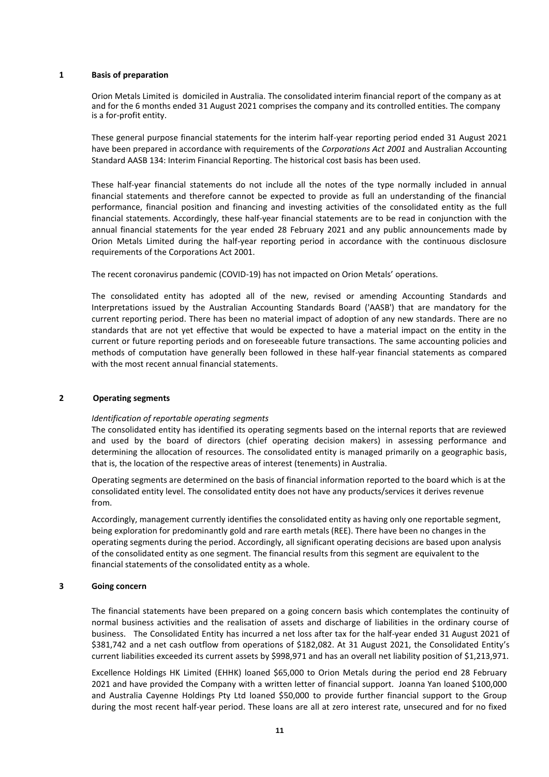### **1 Basis of preparation**

Orion Metals Limited is domiciled in Australia. The consolidated interim financial report of the company as at and for the 6 months ended 31 August 2021 comprises the company and its controlled entities. The company is a for-profit entity.

These general purpose financial statements for the interim half-year reporting period ended 31 August 2021 have been prepared in accordance with requirements of the *Corporations Act 2001* and Australian Accounting Standard AASB 134: Interim Financial Reporting. The historical cost basis has been used.

These half-year financial statements do not include all the notes of the type normally included in annual financial statements and therefore cannot be expected to provide as full an understanding of the financial performance, financial position and financing and investing activities of the consolidated entity as the full financial statements. Accordingly, these half-year financial statements are to be read in conjunction with the annual financial statements for the year ended 28 February 2021 and any public announcements made by Orion Metals Limited during the half-year reporting period in accordance with the continuous disclosure requirements of the Corporations Act 2001.

The recent coronavirus pandemic (COVID-19) has not impacted on Orion Metals' operations.

The consolidated entity has adopted all of the new, revised or amending Accounting Standards and Interpretations issued by the Australian Accounting Standards Board ('AASB') that are mandatory for the current reporting period. There has been no material impact of adoption of any new standards. There are no standards that are not yet effective that would be expected to have a material impact on the entity in the current or future reporting periods and on foreseeable future transactions. The same accounting policies and methods of computation have generally been followed in these half-year financial statements as compared with the most recent annual financial statements.

## **2 Operating segments**

## *Identification of reportable operating segments*

The consolidated entity has identified its operating segments based on the internal reports that are reviewed and used by the board of directors (chief operating decision makers) in assessing performance and determining the allocation of resources. The consolidated entity is managed primarily on a geographic basis, that is, the location of the respective areas of interest (tenements) in Australia.

Operating segments are determined on the basis of financial information reported to the board which is at the consolidated entity level. The consolidated entity does not have any products/services it derives revenue from.

Accordingly, management currently identifies the consolidated entity as having only one reportable segment, being exploration for predominantly gold and rare earth metals (REE). There have been no changes in the operating segments during the period. Accordingly, all significant operating decisions are based upon analysis of the consolidated entity as one segment. The financial results from this segment are equivalent to the financial statements of the consolidated entity as a whole.

### **3 Going concern**

The financial statements have been prepared on a going concern basis which contemplates the continuity of normal business activities and the realisation of assets and discharge of liabilities in the ordinary course of business. The Consolidated Entity has incurred a net loss after tax for the half-year ended 31 August 2021 of \$381,742 and a net cash outflow from operations of \$182,082. At 31 August 2021, the Consolidated Entity's current liabilities exceeded its current assets by \$998,971 and has an overall net liability position of \$1,213,971.

Excellence Holdings HK Limited (EHHK) loaned \$65,000 to Orion Metals during the period end 28 February 2021 and have provided the Company with a written letter of financial support. Joanna Yan loaned \$100,000 and Australia Cayenne Holdings Pty Ltd loaned \$50,000 to provide further financial support to the Group during the most recent half-year period. These loans are all at zero interest rate, unsecured and for no fixed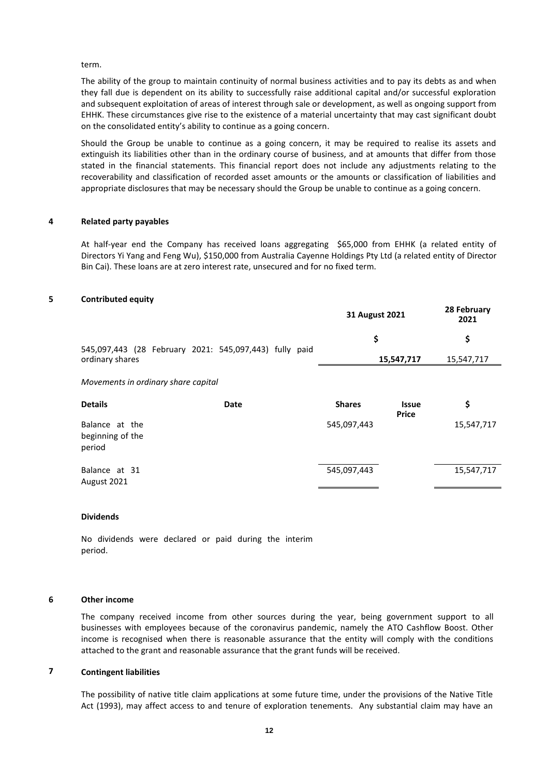### term.

The ability of the group to maintain continuity of normal business activities and to pay its debts as and when they fall due is dependent on its ability to successfully raise additional capital and/or successful exploration and subsequent exploitation of areas of interest through sale or development, as well as ongoing support from EHHK. These circumstances give rise to the existence of a material uncertainty that may cast significant doubt on the consolidated entity's ability to continue as a going concern.

Should the Group be unable to continue as a going concern, it may be required to realise its assets and extinguish its liabilities other than in the ordinary course of business, and at amounts that differ from those stated in the financial statements. This financial report does not include any adjustments relating to the recoverability and classification of recorded asset amounts or the amounts or classification of liabilities and appropriate disclosures that may be necessary should the Group be unable to continue as a going concern.

#### **4 Related party payables**

At half-year end the Company has received loans aggregating \$65,000 from EHHK (a related entity of Directors Yi Yang and Feng Wu), \$150,000 from Australia Cayenne Holdings Pty Ltd (a related entity of Director Bin Cai). These loans are at zero interest rate, unsecured and for no fixed term.

### **5 Contributed equity**

|                                                        | 31 August 2021 |                              | 28 February<br>2021 |  |  |
|--------------------------------------------------------|----------------|------------------------------|---------------------|--|--|
| 545,097,443 (28 February 2021: 545,097,443) fully paid | \$             |                              | \$                  |  |  |
| ordinary shares                                        |                | 15,547,717                   | 15,547,717          |  |  |
| Movements in ordinary share capital                    |                |                              |                     |  |  |
| <b>Details</b><br>Date                                 | <b>Shares</b>  | <b>Issue</b><br><b>Price</b> | \$                  |  |  |
| Balance at the<br>beginning of the<br>period           | 545,097,443    |                              | 15,547,717          |  |  |
| Balance at 31<br>August 2021                           | 545,097,443    |                              | 15,547,717          |  |  |

### **Dividends**

No dividends were declared or paid during the interim period.

### **6 Other income**

The company received income from other sources during the year, being government support to all businesses with employees because of the coronavirus pandemic, namely the ATO Cashflow Boost. Other income is recognised when there is reasonable assurance that the entity will comply with the conditions attached to the grant and reasonable assurance that the grant funds will be received.

## **7 Contingent liabilities**

The possibility of native title claim applications at some future time, under the provisions of the Native Title Act (1993), may affect access to and tenure of exploration tenements. Any substantial claim may have an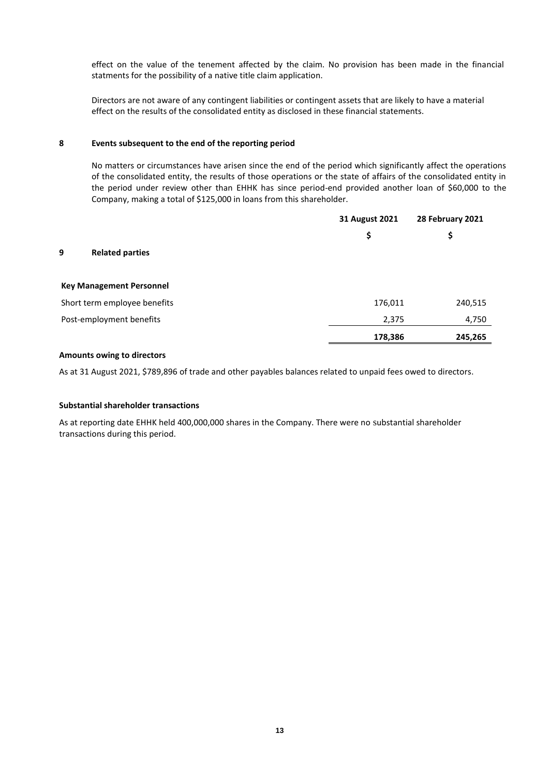effect on the value of the tenement affected by the claim. No provision has been made in the financial statments for the possibility of a native title claim application.

Directors are not aware of any contingent liabilities or contingent assets that are likely to have a material effect on the results of the consolidated entity as disclosed in these financial statements.

### **8 Events subsequent to the end of the reporting period**

No matters or circumstances have arisen since the end of the period which significantly affect the operations of the consolidated entity, the results of those operations or the state of affairs of the consolidated entity in the period under review other than EHHK has since period-end provided another loan of \$60,000 to the Company, making a total of \$125,000 in loans from this shareholder.

|                                 | 31 August 2021 | 28 February 2021 |
|---------------------------------|----------------|------------------|
|                                 | \$             | \$               |
| <b>Related parties</b><br>9     |                |                  |
| <b>Key Management Personnel</b> |                |                  |
| Short term employee benefits    | 176,011        | 240,515          |
| Post-employment benefits        | 2,375          | 4,750            |
|                                 | 178,386        | 245,265          |

### **Amounts owing to directors**

As at 31 August 2021, \$789,896 of trade and other payables balances related to unpaid fees owed to directors.

### **Substantial shareholder transactions**

As at reporting date EHHK held 400,000,000 shares in the Company. There were no substantial shareholder transactions during this period.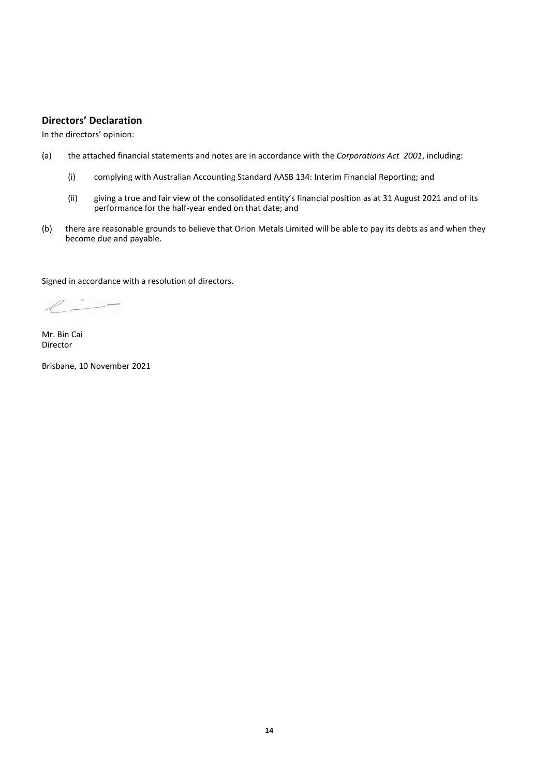## **Directors' Declaration**

In the directors' opinion:

- (a) the attached financial statements and notes are in accordance with the *Corporations Act 2001*, including:
	- (i) complying with Australian Accounting Standard AASB 134: Interim Financial Reporting; and
	- (ii) giving a true and fair view of the consolidated entity's financial position as at 31 August 2021 and of its performance for the half-year ended on that date; and
- (b) there are reasonable grounds to believe that Orion Metals Limited will be able to pay its debts as and when they become due and payable.

Signed in accordance with a resolution of directors.

 $\ell$  -

Mr. Bin Cai Director

Brisbane, 10 November 2021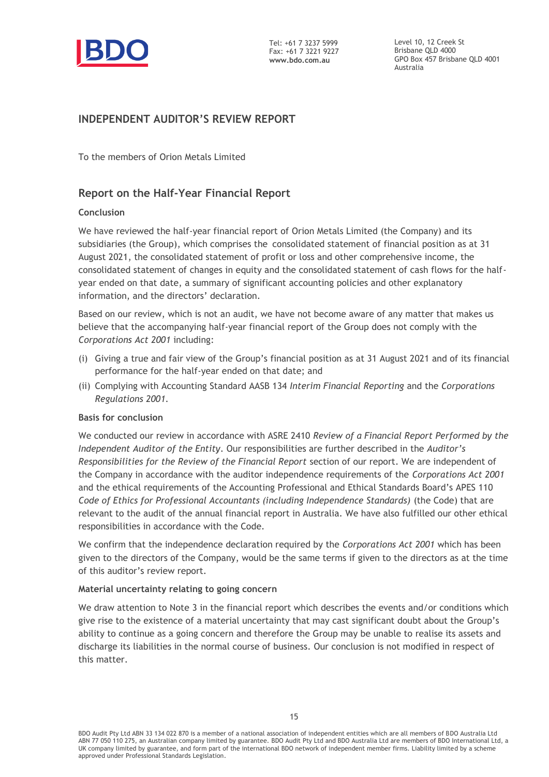

Level 10, 12 Creek St Brisbane QLD 4000 GPO Box 457 Brisbane QLD 4001 Australia

# **INDEPENDENT AUDITOR'S REVIEW REPORT**

To the members of Orion Metals Limited

# **Report on the Half-Year Financial Report**

## **Conclusion**

We have reviewed the half-year financial report of Orion Metals Limited (the Company) and its subsidiaries (the Group), which comprises the consolidated statement of financial position as at 31 August 2021, the consolidated statement of profit or loss and other comprehensive income, the consolidated statement of changes in equity and the consolidated statement of cash flows for the halfyear ended on that date, a summary of significant accounting policies and other explanatory information, and the directors' declaration.

Based on our review, which is not an audit, we have not become aware of any matter that makes us believe that the accompanying half-year financial report of the Group does not comply with the *Corporations Act 2001* including:

- (i) Giving a true and fair view of the Group's financial position as at 31 August 2021 and of its financial performance for the half-year ended on that date; and
- (ii) Complying with Accounting Standard AASB 134 *Interim Financial Reporting* and the *Corporations Regulations 2001.*

## **Basis for conclusion**

We conducted our review in accordance with ASRE 2410 *Review of a Financial Report Performed by the Independent Auditor of the Entity*. Our responsibilities are further described in the *Auditor's Responsibilities for the Review of the Financial Report* section of our report. We are independent of the Company in accordance with the auditor independence requirements of the *Corporations Act 2001* and the ethical requirements of the Accounting Professional and Ethical Standards Board's APES 110 *Code of Ethics for Professional Accountants (including Independence Standards)* (the Code) that are relevant to the audit of the annual financial report in Australia. We have also fulfilled our other ethical responsibilities in accordance with the Code.

We confirm that the independence declaration required by the *Corporations Act 2001* which has been given to the directors of the Company, would be the same terms if given to the directors as at the time of this auditor's review report.

## **Material uncertainty relating to going concern**

We draw attention to Note 3 in the financial report which describes the events and/or conditions which give rise to the existence of a material uncertainty that may cast significant doubt about the Group's ability to continue as a going concern and therefore the Group may be unable to realise its assets and discharge its liabilities in the normal course of business. Our conclusion is not modified in respect of this matter.

BDO Audit Pty Ltd ABN 33 134 022 870 is a member of a national association of independent entities which are all members of BDO Australia Ltd ABN 77 050 110 275, an Australian company limited by guarantee. BDO Audit Pty Ltd and BDO Australia Ltd are members of BDO International Ltd, a UK company limited by guarantee, and form part of the international BDO network of independent member firms. Liability limited by a scheme approved under Professional Standards Legislation.